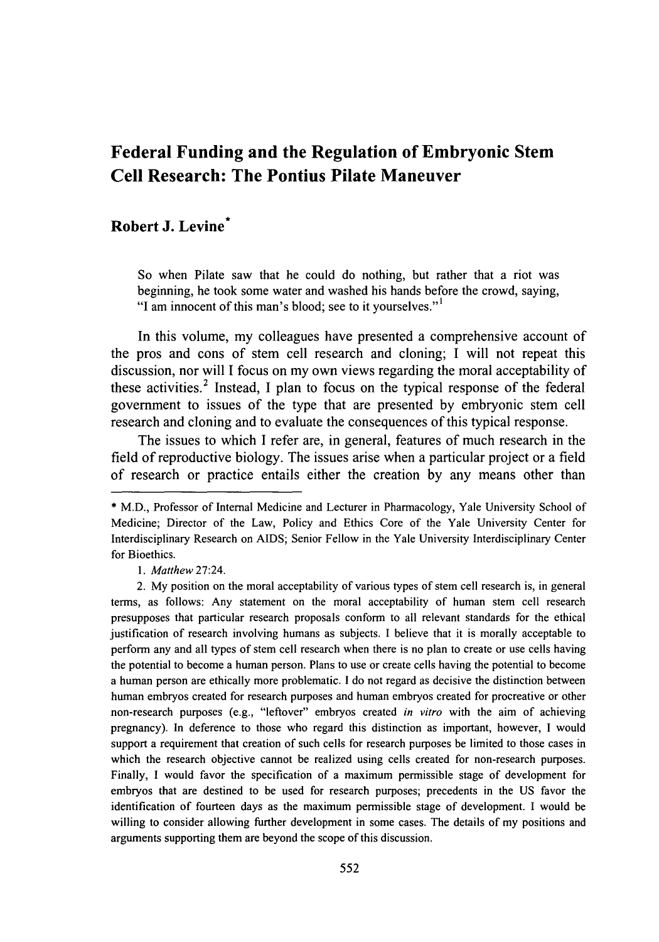# **Federal Funding and the Regulation of Embryonic Stem Cell Research: The Pontius Pilate Maneuver**

# **Robert J. Levine\***

So when Pilate saw that he could do nothing, but rather that a riot was beginning, he took some water and washed his hands before the crowd, saying, **"I** am innocent of this man's blood; see to it yourselves." **I**

In this volume, my colleagues have presented a comprehensive account of the pros and cons of stem cell research and cloning; **I** will not repeat this discussion, nor will **I** focus on my own views regarding the moral acceptability of these activities.<sup>2</sup> Instead, I plan to focus on the typical response of the federal government to issues of the type that are presented by embryonic stem cell research and cloning and to evaluate the consequences of this typical response.

The issues to which I refer are, in general, features of much research in the field of reproductive biology. The issues arise when a particular project or a field of research or practice entails either the creation by any means other than

<sup>\*</sup> M.D., Professor of Internal Medicine and Lecturer in Pharmacology, Yale University School of Medicine; Director of the Law, Policy and Ethics Core of the Yale University Center for Interdisciplinary Research on AIDS; Senior Fellow in the Yale University Interdisciplinary Center for Bioethics.

*<sup>1.</sup> Matthew 27:24.*

<sup>2.</sup> My position on the moral acceptability of various types of stem cell research is, in general terms, as follows: Any statement on the moral acceptability of human stem cell research presupposes that particular research proposals conform to all relevant standards for the ethical justification of research involving humans as subjects. I believe that it is morally acceptable to perform any and all types of stem cell research when there is no plan to create or use cells having the potential to become a human person. Plans to use or create cells having the potential to become a human person are ethically more problematic. I do not regard as decisive the distinction between human embryos created for research purposes and human embryos created for procreative or other non-research purposes (e.g., "leftover" embryos created *in vitro* with the aim of achieving pregnancy). In deference to those who regard this distinction as important, however, I would support a requirement that creation of such cells for research purposes be limited to those cases in which the research objective cannot be realized using cells created for non-research purposes. Finally, I would favor the specification of a maximum permissible stage of development for embryos that are destined to be used for research purposes; precedents in the US favor the identification of fourteen days as the maximum permissible stage of development. I would be willing to consider allowing further development in some cases. The details of my positions and arguments supporting them are beyond the scope of this discussion.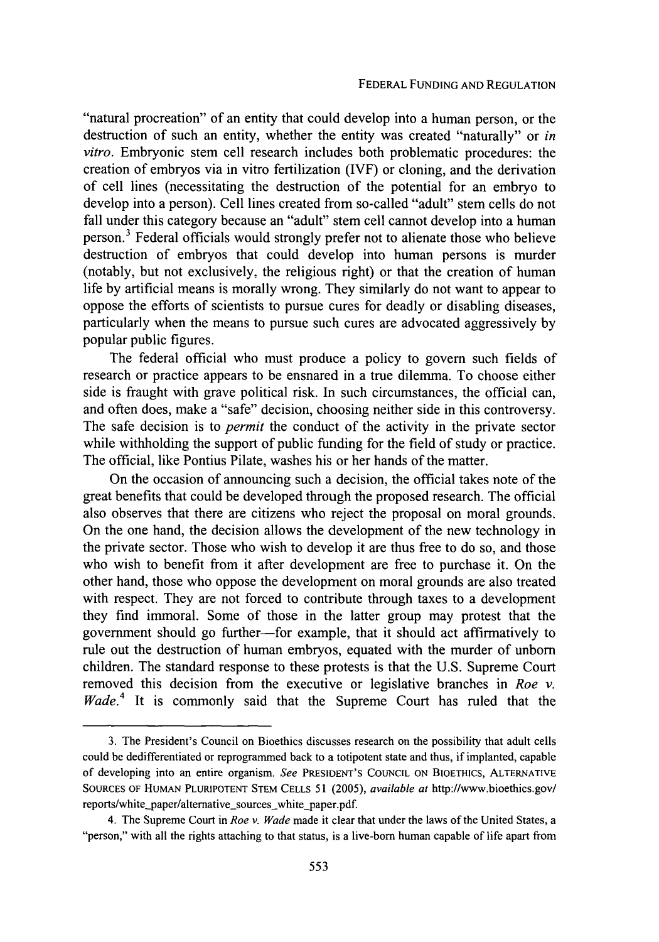"natural procreation" of an entity that could develop into a human person, or the destruction of such an entity, whether the entity was created "naturally" or *in vitro.* Embryonic stem cell research includes both problematic procedures: the creation of embryos via in vitro fertilization (IVF) or cloning, and the derivation of cell lines (necessitating the destruction of the potential for an embryo to develop into a person). Cell lines created from so-called "adult" stem cells do not fall under this category because an "adult" stem cell cannot develop into a human person.<sup>3</sup> Federal officials would strongly prefer not to alienate those who believe destruction of embryos that could develop into human persons is murder (notably, but not exclusively, the religious right) or that the creation of human life by artificial means is morally wrong. They similarly do not want to appear to oppose the efforts of scientists to pursue cures for deadly or disabling diseases, particularly when the means to pursue such cures are advocated aggressively by popular public figures.

The federal official who must produce a policy to govern such fields of research or practice appears to be ensnared in a true dilemma. To choose either side is fraught with grave political risk. In such circumstances, the official can, and often does, make a "safe" decision, choosing neither side in this controversy. The safe decision is to *permit* the conduct of the activity in the private sector while withholding the support of public funding for the field of study or practice. The official, like Pontius Pilate, washes his or her hands of the matter.

On the occasion of announcing such a decision, the official takes note of the great benefits that could be developed through the proposed research. The official also observes that there are citizens who reject the proposal on moral grounds. On the one hand, the decision allows the development of the new technology in the private sector. Those who wish to develop it are thus free to do so, and those who wish to benefit from it after development are free to purchase it. On the other hand, those who oppose the development on moral grounds are also treated with respect. They are not forced to contribute through taxes to a development they find immoral. Some of those in the latter group may protest that the government should go further-for example, that it should act affirmatively to rule out the destruction of human embryos, equated with the murder of unborn children. The standard response to these protests is that the U.S. Supreme Court removed this decision from the executive or legislative branches in *Roe v. Wade.4* It is commonly said that the Supreme Court has ruled that the

<sup>3.</sup> The President's Council on Bioethics discusses research on the possibility that adult cells could be dedifferentiated or reprogrammed back to a totipotent state and thus, if implanted, capable of developing into an entire organism. *See* PRESIDENT'S COUNCIL ON BIOETHIcS, ALTERNATIVE SOURCES OF HUMAN PLURIPOTENT STEM CELLS 51 (2005), *available at* http://www.bioethics.gov/ reports/white\_paper/alternative\_sources\_white\_paper.pdf.

<sup>4.</sup> The Supreme Court in *Roe v. Wade* made it clear that under the laws of the United States, a "person," with all the rights attaching to that status, is a live-born human capable of life apart from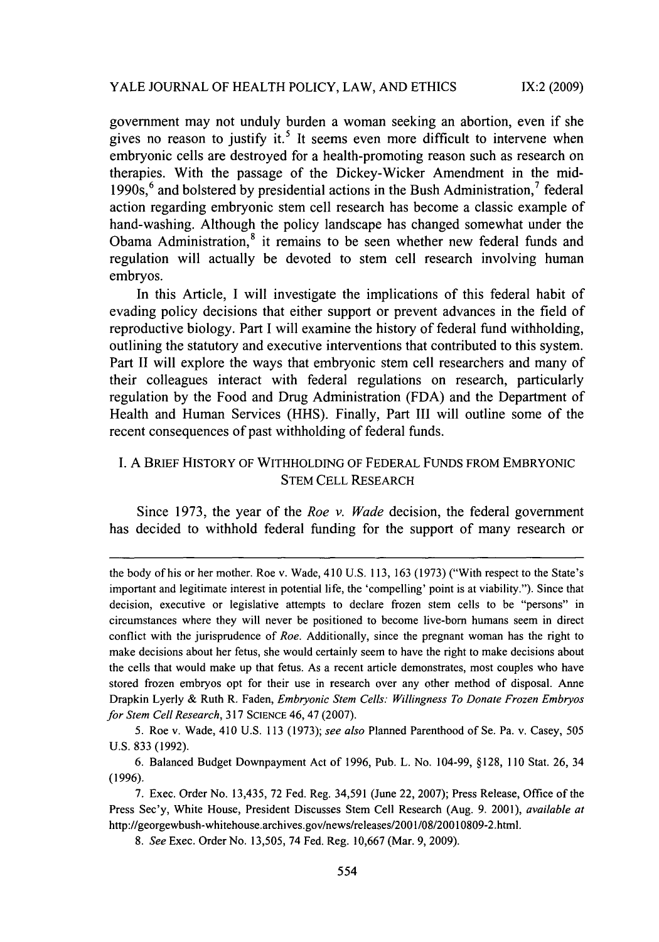IX:2 **(2009)**

government may not unduly burden a woman seeking an abortion, even if she gives no reason to justify it.<sup>5</sup> It seems even more difficult to intervene when embryonic cells are destroyed for a health-promoting reason such as research on therapies. With the passage of the Dickey-Wicker Amendment in the mid-1990s,  $6$  and bolstered by presidential actions in the Bush Administration,  $7$  federal action regarding embryonic stem cell research has become a classic example of hand-washing. Although the policy landscape has changed somewhat under the Obama Administration,<sup>8</sup> it remains to be seen whether new federal funds and regulation will actually be devoted to stem cell research involving human embryos.

In this Article, I will investigate the implications of this federal habit of evading policy decisions that either support or prevent advances in the field of reproductive biology. Part I will examine the history of federal fund withholding, outlining the statutory and executive interventions that contributed to this system. Part II will explore the ways that embryonic stem cell researchers and many of their colleagues interact with federal regulations on research, particularly regulation by the Food and Drug Administration (FDA) and the Department of Health and Human Services (HHS). Finally, Part **III** will outline some of the recent consequences of past withholding of federal funds.

# I. A BRIEF HISTORY OF WITHHOLDING OF FEDERAL FUNDS FROM EMBRYONIC STEM CELL RESEARCH

Since 1973, the year of the *Roe v. Wade* decision, the federal government has decided to withhold federal funding for the support of many research or

the body of his or her mother. Roe v. Wade, 410 U.S. 113, 163 (1973) ("With respect to the State's important and legitimate interest in potential life, the 'compelling' point is at viability."). Since that decision, executive or legislative attempts to declare frozen stem cells to be "persons" in circumstances where they will never be positioned to become live-born humans seem in direct conflict with the jurisprudence of *Roe.* Additionally, since the pregnant woman has the right to make decisions about her fetus, she would certainly seem to have the fight to make decisions about the cells that would make up that fetus. As a recent article demonstrates, most couples who have stored frozen embryos opt for their use in research over any other method of disposal. Anne Drapkin Lyerly & Ruth R. Faden, *Embryonic Stem Cells: Willingness To Donate Frozen Embryos for Stem Cell Research,* 317 SCIENCE 46, 47 (2007).

5. Roe v. Wade, 410 U.S. 113 (1973); *see also* Planned Parenthood of Se. Pa. v. Casey, *505* U.S. 833 (1992).

6. Balanced Budget Downpayment Act of 1996, Pub. L. No. 104-99, §128, 110 Stat. 26, 34 (1996).

7. Exec. Order No. 13,435, 72 Fed. Reg. 34,591 (June 22, 2007); Press Release, Office of the Press Sec'y, White House, President Discusses Stem Cell Research (Aug. 9. 2001), *available at* http://georgewbush-whitehouse.archives.gov/news/releases/2001/08/20010809-2.html.

*8. See* Exec. Order No. 13,505, 74 Fed. Reg. 10,667 (Mar. 9, 2009).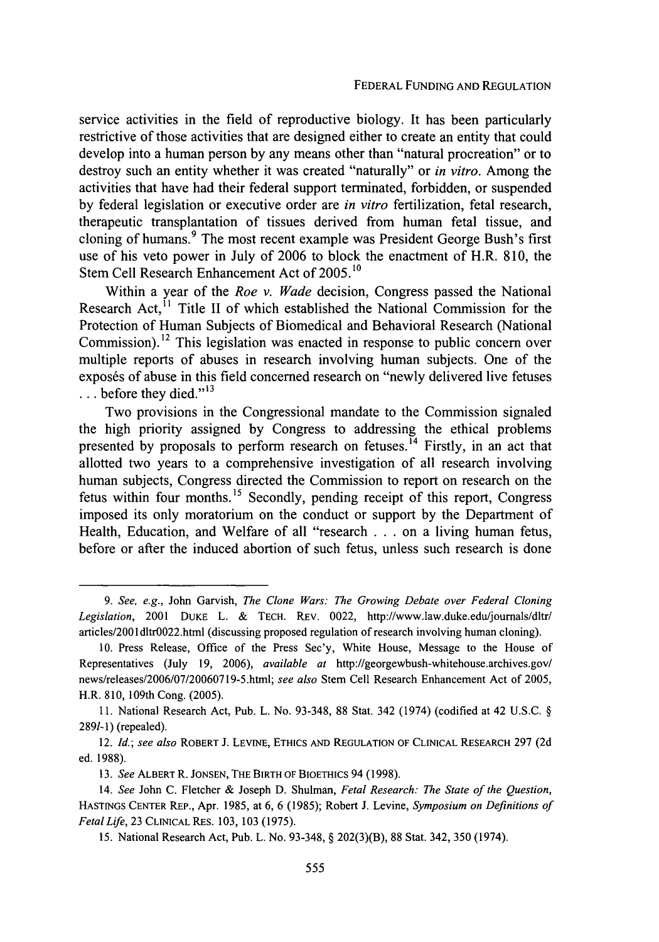service activities in the field of reproductive biology. It has been particularly restrictive of those activities that are designed either to create an entity that could develop into a human person by any means other than "natural procreation" or to destroy such an entity whether it was created "naturally" or *in vitro.* Among the activities that have had their federal support terminated, forbidden, or suspended by federal legislation or executive order are *in vitro* fertilization, fetal research, therapeutic transplantation of tissues derived from human fetal tissue, and cloning of humans.<sup>9</sup> The most recent example was President George Bush's first use of his veto power in July of 2006 to block the enactment of H.R. 810, the Stem Cell Research Enhancement Act of 2005.<sup>10</sup>

Within a year of the *Roe v. Wade* decision, Congress passed the National Research Act,  $^{11}$  Title II of which established the National Commission for the Protection of Human Subjects of Biomedical and Behavioral Research (National Commission).<sup>12</sup> This legislation was enacted in response to public concern over multiple reports of abuses in research involving human subjects. One of the exposés of abuse in this field concerned research on "newly delivered live fetuses  $\ldots$  before they died."<sup>13</sup>

Two provisions in the Congressional mandate to the Commission signaled the high priority assigned by Congress to addressing the ethical problems presented by proposals to perform research on fetuses.<sup> $14$ </sup> Firstly, in an act that allotted two years to a comprehensive investigation of all research involving human subjects, Congress directed the Commission to report on research on the fetus within four months. 15 Secondly, pending receipt of this report, Congress imposed its only moratorium on the conduct or support by the Department of Health, Education, and Welfare of all "research . . . on a living human fetus, before or after the induced abortion of such fetus, unless such research is done

*<sup>9.</sup> See, e.g.,* John Garvish, *The Clone Wars: The Growing Debate over Federal Cloning Legislation,* 2001 **DUKE** L. **& TECH.** REV. 0022, http://www.law.duke.edu/journals/dltr/ articles/2001 dltr0022.html (discussing proposed regulation of research involving human cloning).

<sup>10.</sup> Press Release, Office of the Press Sec'y, White House, Message to the House of Representatives (July 19, 2006), *available at* http://georgewbush-whitehouse.archives.gov/ news/releases/2006/07/20060719-5.html; *see also* Stem Cell Research Enhancement Act of 2005, H.R. 810, 109th Cong. (2005).

<sup>11.</sup> National Research Act, Pub. L. No. 93-348, 88 Stat. 342 (1974) (codified at 42 U.S.C. § 2891-1) (repealed).

<sup>12.</sup> *Id.; see also* ROBERT **J.** LEVINE, **ETHICS** AND **REGULATION** OF CLINICAL RESEARCH 297 (2d ed. 1988).

<sup>13.</sup> *See* ALBERT R. **JONSEN,** THE BIRTH OF **BIOETHICS** 94 (1998).

<sup>14.</sup> *See* John C. Fletcher & Joseph D. Shulman, *Fetal Research: The State of the Question,* **HASTINGS CENTER** REP., Apr. 1985, at 6, 6 (1985); Robert J. Levine, *Symposium on Definitions of Fetal Life,* 23 CLINICAL RES. 103, 103 (1975).

<sup>15.</sup> National Research Act, Pub. L. No. 93-348, § 202(3)(B), 88 Stat. 342, 350 (1974).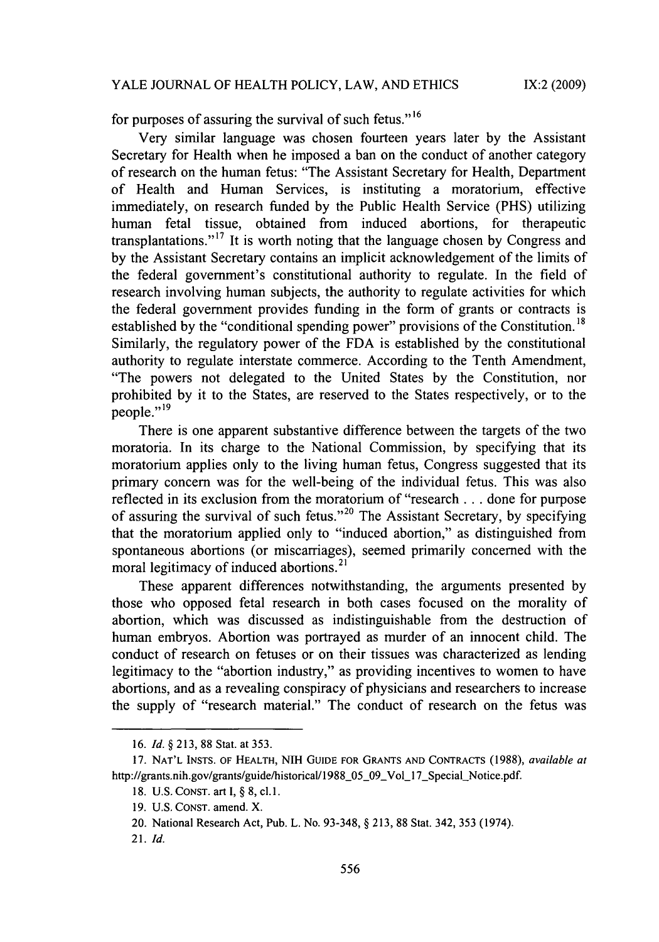for purposes of assuring the survival of such fetus." **16**

Very similar language was chosen fourteen years later by the Assistant Secretary for Health when he imposed a ban on the conduct of another category of research on the human fetus: "The Assistant Secretary for Health, Department of Health and Human Services, is instituting a moratorium, effective immediately, on research funded by the Public Health Service (PHS) utilizing human fetal tissue, obtained from induced abortions, for therapeutic transplantations."<sup>17</sup> It is worth noting that the language chosen by Congress and by the Assistant Secretary contains an implicit acknowledgement of the limits of the federal government's constitutional authority to regulate. In the field of research involving human subjects, the authority to regulate activities for which the federal government provides funding in the form of grants or contracts is established by the "conditional spending power" provisions of the Constitution.<sup>18</sup> Similarly, the regulatory power of the FDA is established by the constitutional authority to regulate interstate commerce. According to the Tenth Amendment, "The powers not delegated to the United States by the Constitution, nor prohibited by it to the States, are reserved to the States respectively, or to the people."<sup>19</sup>

There is one apparent substantive difference between the targets of the two moratoria. In its charge to the National Commission, by specifying that its moratorium applies only to the living human fetus, Congress suggested that its primary concern was for the well-being of the individual fetus. This was also reflected in its exclusion from the moratorium of "research **...** done for purpose of assuring the survival of such fetus."<sup>20</sup> The Assistant Secretary, by specifying that the moratorium applied only to "induced abortion," as distinguished from spontaneous abortions (or miscarriages), seemed primarily concerned with the moral legitimacy of induced abortions.<sup>21</sup>

These apparent differences notwithstanding, the arguments presented by those who opposed fetal research in both cases focused on the morality of abortion, which was discussed as indistinguishable from the destruction of human embryos. Abortion was portrayed as murder of an innocent child. The conduct of research on fetuses or on their tissues was characterized as lending legitimacy to the "abortion industry," as providing incentives to women to have abortions, and as a revealing conspiracy of physicians and researchers to increase the supply of "research material." The conduct of research on the fetus was

**<sup>16.</sup>** *Id. §* **213, 88** Stat. at **353.**

**<sup>17.</sup> NAT'L INSTS.** OF HEALTH, **NIH GUIDE** FOR **GRANTS AND CONTRACTS** (1988), *available at* http://grants.nih.gov/grants/guide/historical/1988\_05\_09\_Vol\_17\_Special\_Notice.pdf.

<sup>18.</sup> U.S. **CONST.** art I, § 8, cl.1.

<sup>19.</sup> U.S. **CONST.** amend. X.

<sup>20.</sup> National Research Act, Pub. L. No. 93-348, § 213, 88 Stat. 342, 353 (1974).

*<sup>21.</sup> Id.*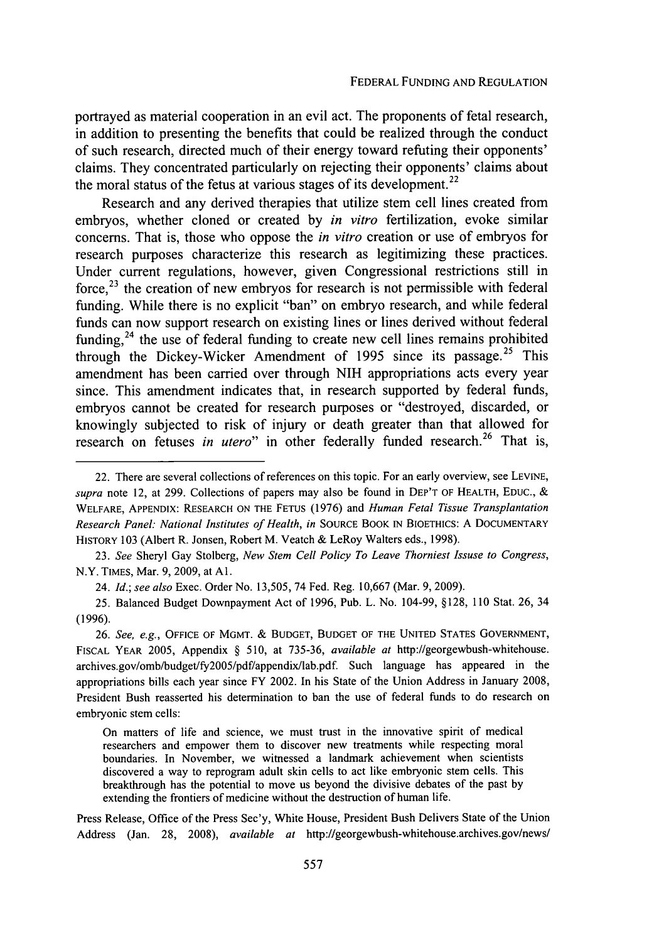portrayed as material cooperation in an evil act. The proponents of fetal research, in addition to presenting the benefits that could be realized through the conduct of such research, directed much of their energy toward refuting their opponents' claims. They concentrated particularly on rejecting their opponents' claims about the moral status of the fetus at various stages of its development.<sup>22</sup>

Research and any derived therapies that utilize stem cell lines created from embryos, whether cloned or created by *in vitro* fertilization, evoke similar concerns. That is, those who oppose the *in vitro* creation or use of embryos for research purposes characterize this research as legitimizing these practices. Under current regulations, however, given Congressional restrictions still in force.<sup>23</sup> the creation of new embryos for research is not permissible with federal funding. While there is no explicit "ban" on embryo research, and while federal funds can now support research on existing lines or lines derived without federal funding, $24$  the use of federal funding to create new cell lines remains prohibited through the Dickey-Wicker Amendment of 1995 since its passage.<sup>25</sup> This amendment has been carried over through NIH appropriations acts every year since. This amendment indicates that, in research supported by federal funds, embryos cannot be created for research purposes or "destroyed, discarded, or knowingly subjected to risk of injury or death greater than that allowed for research on fetuses *in utero*" in other federally funded research.<sup>26</sup> That is,

23. *See* Sheryl Gay Stolberg, *New Stem Cell Policy To Leave Thorniest Issuse to Congress,* N.Y. **TIMES,** Mar. 9, 2009, at **Al.**

25. Balanced Budget Downpayment Act of 1996, Pub. L. No. 104-99, §128, 110 Stat. 26, 34 (1996).

26. *See, e.g.,* **OFFICE** OF MGMT. & **BUDGET, BUDGET** OF THE **UNITED** STATES **GOVERNMENT, FISCAL** YEAR 2005, Appendix § 510, at 735-36, *available at* http://georgewbush-whitehouse.  $archives.gov/omb/budeet/fy2005/pdf/appendix/lab.pdf$ . Such language has appeared in the appropriations bills each year since FY 2002. In his State of the Union Address in January 2008, President Bush reasserted his determination to ban the use of federal funds to do research on embryonic stem cells:

On matters of life and science, we must trust in the innovative spirit of medical researchers and empower them to discover new treatments while respecting moral boundaries. In November, we witnessed a landmark achievement when scientists discovered a way to reprogram adult skin cells to act like embryonic stem cells. This breakthrough has the potential to move us beyond the divisive debates of the past by extending the frontiers of medicine without the destruction of human life.

Press Release, Office of the Press Sec'y, White House, President Bush Delivers State of the Union Address (Jan. 28, 2008), *available at* http://georgewbush-whitehouse.archives.gov/news/

<sup>22.</sup> There are several collections of references on this topic. For an early overview, see LEVINE, *supra* note 12, at 299. Collections of papers may also be found in DEP'T OF HEALTH, **EDUC.,** & WELFARE, **APPENDIX:** RESEARCH **ON** THE **FETUS** (1976) and *Human Fetal Tissue Transplantation Research Panel: National Institutes of Health, in* **SOURCE** BOOK IN **BIOETHICS:** A **DOCUMENTARY** HISTORY 103 (Albert R. Jonsen, Robert M. Veatch & LeRoy Walters eds., 1998).

<sup>24.</sup> *Id.; see also* Exec. Order No. 13,505, 74 Fed. Reg. 10,667 (Mar. 9, 2009).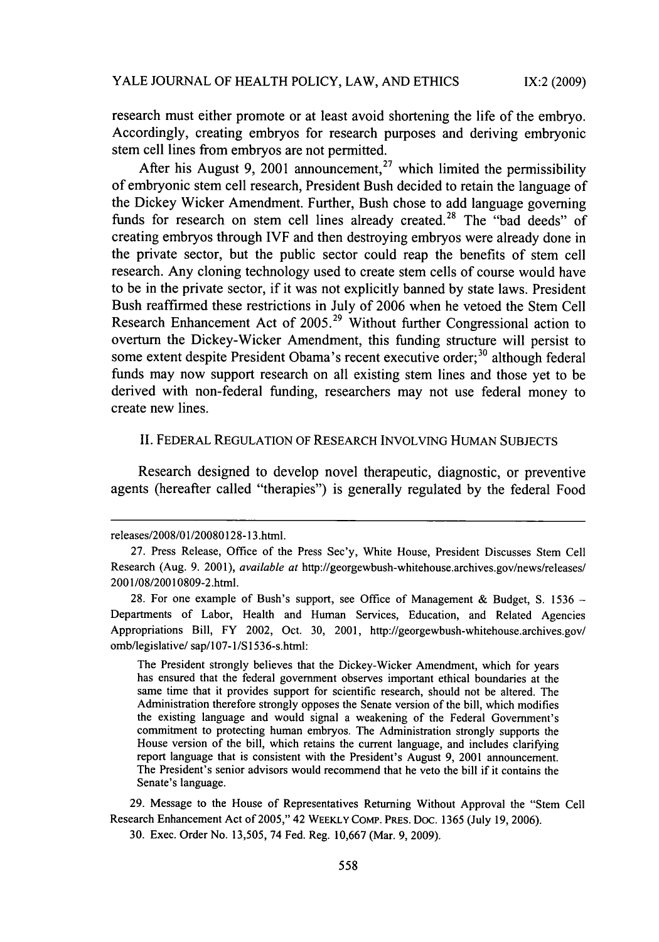research must either promote or at least avoid shortening the life of the embryo. Accordingly, creating embryos for research purposes and deriving embryonic stem cell lines from embryos are not permitted.

After his August 9, 2001 announcement,<sup>27</sup> which limited the permissibility of embryonic stem cell research, President Bush decided to retain the language of the Dickey Wicker Amendment. Further, Bush chose to add language governing funds for research on stem cell lines already created.<sup>28</sup> The "bad deeds" of creating embryos through IVF and then destroying embryos were already done in the private sector, but the public sector could reap the benefits of stem cell research. Any cloning technology used to create stem cells of course would have to be in the private sector, if it was not explicitly banned by state laws. President Bush reaffirmed these restrictions in July of 2006 when he vetoed the Stem Cell Research Enhancement Act of  $2005$ <sup>29</sup> Without further Congressional action to overturn the Dickey-Wicker Amendment, this funding structure will persist to some extent despite President Obama's recent executive order;<sup>30</sup> although federal funds may now support research on all existing stem lines and those yet to be derived with non-federal funding, researchers may not use federal money to create new lines.

#### II. FEDERAL REGULATION OF RESEARCH INVOLVING HUMAN SUBJECTS

Research designed to develop novel therapeutic, diagnostic, or preventive agents (hereafter called "therapies") is generally regulated by the federal Food

29. Message to the House of Representatives Returning Without Approval the "Stem Cell Research Enhancement Act of 2005," 42 WEEKLY COMP. PRES. Doc. 1365 (July 19, 2006).

releases/2008/01/20080128-13.html.

<sup>27.</sup> Press Release, Office of the Press Sec'y, White House, President Discusses Stem Cell Research (Aug. 9. 2001), *available at* http://georgewbush-whitehouse.archives.gov/news/releases/ 2001/08/20010809-2.html.

<sup>28.</sup> For one example of Bush's support, see Office of Management & Budget, **S.** 1536 - Departments of Labor, Health and Human Services, Education, and Related Agencies Appropriations Bill, FY 2002, Oct. 30, 2001, http://georgewbush-whitehouse.archives.gov/ omb/legislative/ sap/107-1/S 1536-s.html:

The President strongly believes that the Dickey-Wicker Amendment, which for years has ensured that the federal government observes important ethical boundaries at the same time that it provides support for scientific research, should not be altered. The Administration therefore strongly opposes the Senate version of the bill, which modifies the existing language and would signal a weakening of the Federal Government's commitment to protecting human embryos. The Administration strongly supports the House version of the bill, which retains the current language, and includes clarifying report language that is consistent with the President's August 9, 2001 announcement. The President's senior advisors would recommend that he veto the bill if it contains the Senate's language.

<sup>30.</sup> Exec. Order No. 13,505, 74 Fed. Reg. 10,667 (Mar. 9, 2009).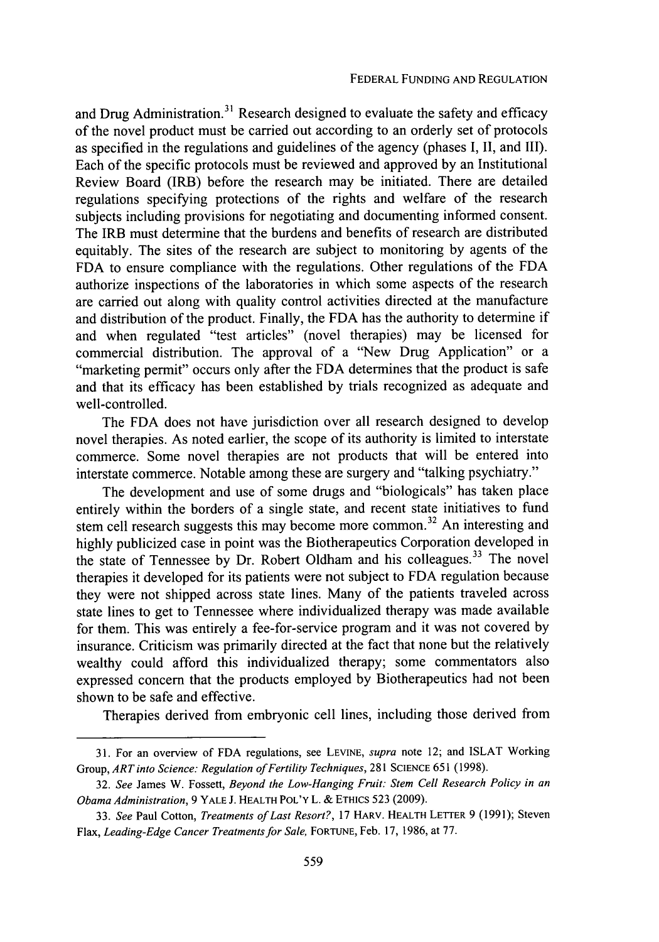and Drug Administration.<sup>31</sup> Research designed to evaluate the safety and efficacy of the novel product must be carried out according to an orderly set of protocols as specified in the regulations and guidelines of the agency (phases **1, 11,** and III). Each of the specific protocols must be reviewed and approved by an Institutional Review Board (IRB) before the research may be initiated. There are detailed regulations specifying protections of the rights and welfare of the research subjects including provisions for negotiating and documenting informed consent. The IRB must determine that the burdens and benefits of research are distributed equitably. The sites of the research are subject to monitoring by agents of the FDA to ensure compliance with the regulations. Other regulations of the FDA authorize inspections of the laboratories in which some aspects of the research are carried out along with quality control activities directed at the manufacture and distribution of the product. Finally, the FDA has the authority to determine if and when regulated "test articles" (novel therapies) may be licensed for commercial distribution. The approval of a "New Drug Application" or a "marketing permit" occurs only after the FDA determines that the product is safe and that its efficacy has been established by trials recognized as adequate and well-controlled.

The FDA does not have jurisdiction over all research designed to develop novel therapies. As noted earlier, the scope of its authority is limited to interstate commerce. Some novel therapies are not products that will be entered into interstate commerce. Notable among these are surgery and "talking psychiatry."

The development and use of some drugs and "biologicals" has taken place entirely within the borders of a single state, and recent state initiatives to fund stem cell research suggests this may become more common.<sup>32</sup> An interesting and highly publicized case in point was the Biotherapeutics Corporation developed in the state of Tennessee by Dr. Robert Oldham and his colleagues.<sup>33</sup> The novel therapies it developed for its patients were not subject to FDA regulation because they were not shipped across state lines. Many of the patients traveled across state lines to get to Tennessee where individualized therapy was made available for them. This was entirely a fee-for-service program and it was not covered by insurance. Criticism was primarily directed at the fact that none but the relatively wealthy could afford this individualized therapy; some commentators also expressed concern that the products employed by Biotherapeutics had not been shown to be safe and effective.

Therapies derived from embryonic cell lines, including those derived from

<sup>31.</sup> For an overview of FDA regulations, see LEVINE, *supra* note 12; and ISLAT Working Group, *ART into Science: Regulation of Fertility Techniques,* 281 SCIENCE 651 (1998).

<sup>32.</sup> *See* James W. Fossett, *Beyond the Low-Hanging Fruit: Stem Cell Research Policy in an Obama Administration,* 9 YALE J. HEALTH POL'Y L. & ETHICS 523 (2009).

<sup>33.</sup> *See* Paul Cotton, *Treatments of Last Resort?,* 17 HARV. HEALTH LETTER 9 (1991); Steven Flax, *Leading-Edge Cancer Treatments for Sale,* FORTUNE, Feb. 17, 1986, at 77.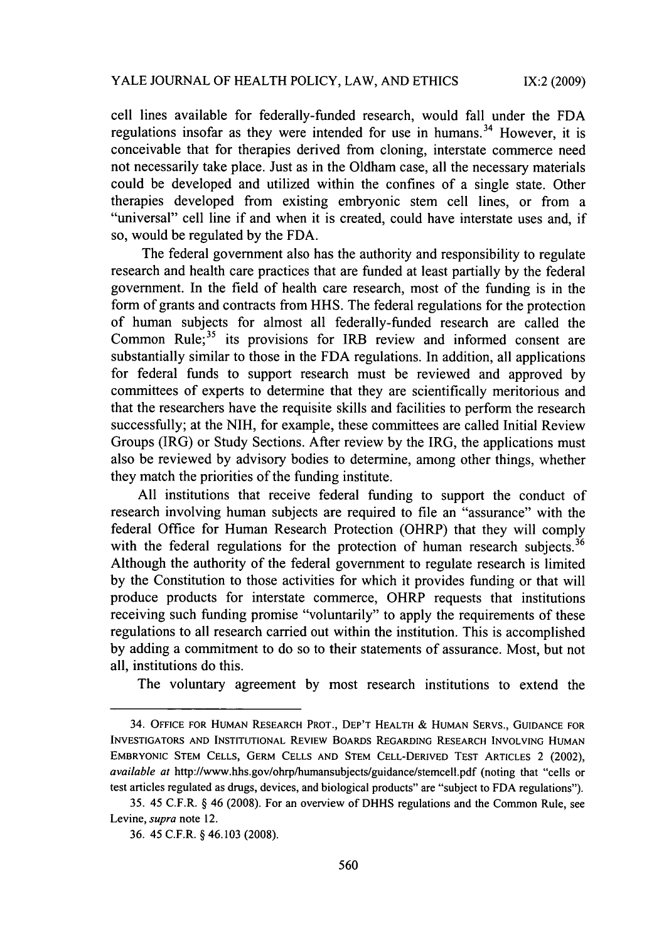IX:2 **(2009)**

cell lines available for federally-funded research, would fall under the FDA regulations insofar as they were intended for use in humans.<sup>34</sup> However, it is conceivable that for therapies derived from cloning, interstate commerce need not necessarily take place. Just as in the Oldham case, all the necessary materials could be developed and utilized within the confines of a single state. Other therapies developed from existing embryonic stem cell lines, or from a "universal" cell line if and when it is created, could have interstate uses and, if so, would be regulated by the FDA.

The federal government also has the authority and responsibility to regulate research and health care practices that are funded at least partially by the federal government. In the field of health care research, most of the funding is in the form of grants and contracts from HHS. The federal regulations for the protection of human subjects for almost all federally-funded research are called the Common Rule;<sup>35</sup> its provisions for IRB review and informed consent are substantially similar to those in the FDA regulations. In addition, all applications for federal funds to support research must be reviewed and approved by committees of experts to determine that they are scientifically meritorious and that the researchers have the requisite skills and facilities to perform the research successfully; at the NIH, for example, these committees are called Initial Review Groups (IRG) or Study Sections. After review by the IRG, the applications must also be reviewed by advisory bodies to determine, among other things, whether they match the priorities of the funding institute.

All institutions that receive federal funding to support the conduct of research involving human subjects are required to file an "assurance" with the federal Office for Human Research Protection (OHRP) that they will comply with the federal regulations for the protection of human research subjects.<sup>36</sup> Although the authority of the federal government to regulate research is limited by the Constitution to those activities for which it provides funding or that will produce products for interstate commerce, OHRP requests that institutions receiving such funding promise "voluntarily" to apply the requirements of these regulations to all research carried out within the institution. This is accomplished by adding a commitment to do so to their statements of assurance. Most, but not all, institutions do this.

The voluntary agreement by most research institutions to extend the

<sup>34.</sup> OFFICE FOR HUMAN RESEARCH PROT., DEP'T HEALTH *&* HUMAN SERVS., GUIDANCE FOR INVESTIGATORS AND INSTITUTIONAL REVIEW BOARDS REGARDING RESEARCH INVOLVING HUMAN EMBRYONIC STEM CELLS, GERM CELLS **AND** STEM CELL-DERIVED TEST ARTICLES 2 (2002), *available at* http://www.hhs.gov/ohrp/humansubjects/guidance/stemcell.pdf (noting that "cells or test articles regulated as drugs, devices, and biological products" are "subject to FDA regulations").

<sup>35. 45</sup> C.F.R. § 46 (2008). For an overview of DHHS regulations and the Common Rule, see Levine, *supra* note 12.

<sup>36. 45</sup> C.F.R. § 46.103 (2008).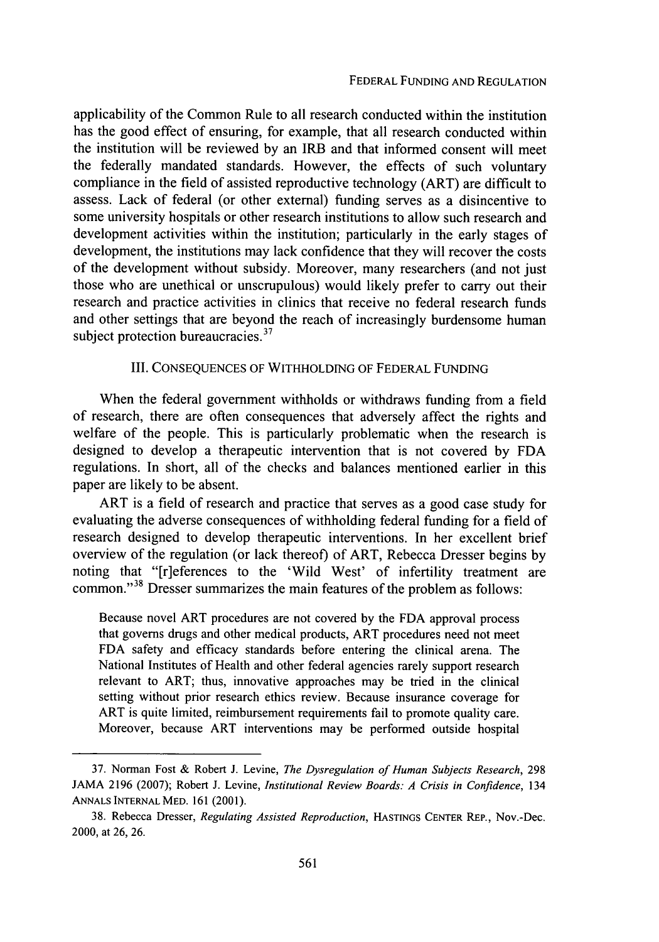applicability of the Common Rule to all research conducted within the institution has the good effect of ensuring, for example, that all research conducted within the institution will be reviewed by an IRB and that informed consent will meet the federally mandated standards. However, the effects of such voluntary compliance in the field of assisted reproductive technology (ART) are difficult to assess. Lack of federal (or other external) funding serves as a disincentive to some university hospitals or other research institutions to allow such research and development activities within the institution; particularly in the early stages of development, the institutions may lack confidence that they will recover the costs of the development without subsidy. Moreover, many researchers (and not just those who are unethical or unscrupulous) would likely prefer to carry out their research and practice activities in clinics that receive no federal research funds and other settings that are beyond the reach of increasingly burdensome human subject protection bureaucracies.<sup>37</sup>

## III. CONSEQUENCES OF WITHHOLDING OF FEDERAL FUNDING

When the federal government withholds or withdraws funding from a field of research, there are often consequences that adversely affect the rights and welfare of the people. This is particularly problematic when the research is designed to develop a therapeutic intervention that is not covered by FDA regulations. In short, all of the checks and balances mentioned earlier in this paper are likely to be absent.

ART is a field of research and practice that serves as a good case study for evaluating the adverse consequences of withholding federal funding for a field of research designed to develop therapeutic interventions. In her excellent brief overview of the regulation (or lack thereof) of ART, Rebecca Dresser begins by noting that "[r]eferences to the 'Wild West' of infertility treatment are common."<sup>38</sup> Dresser summarizes the main features of the problem as follows:

Because novel ART procedures are not covered by the FDA approval process that governs drugs and other medical products, ART procedures need not meet FDA safety and efficacy standards before entering the clinical arena. The National Institutes of Health and other federal agencies rarely support research relevant to ART; thus, innovative approaches may be tried in the clinical setting without prior research ethics review. Because insurance coverage for ART is quite limited, reimbursement requirements fail to promote quality care. Moreover, because ART interventions may be performed outside hospital

<sup>37.</sup> Norman Fost & Robert **J.** Levine, *The Dysregulation of Human Subjects Research,* **298** JAMA 2196 (2007); Robert J. Levine, *Institutional Review Boards: A Crisis in Confidence,* <sup>134</sup> **ANNALS INTERNAL MED.** 161 (2001).

<sup>38.</sup> Rebecca Dresser, *Regulating Assisted Reproduction,* **HASTINGS CENTER** REP., Nov.-Dec. 2000, at 26, 26.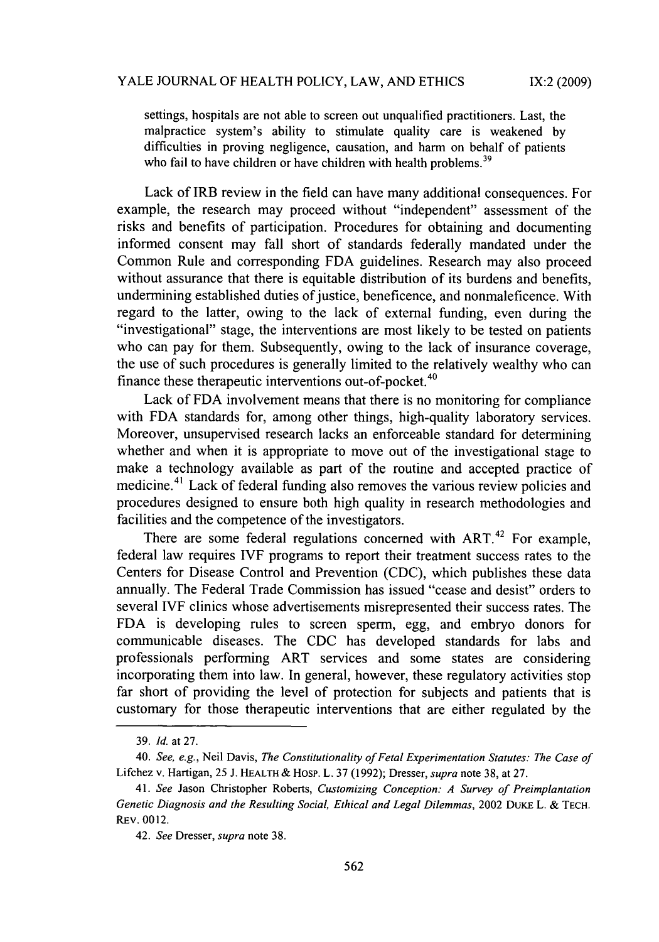IX:2 **(2009)**

settings, hospitals are not able to screen out unqualified practitioners. Last, the malpractice system's ability to stimulate quality care is weakened by difficulties in proving negligence, causation, and harm on behalf of patients who fail to have children or have children with health problems.<sup>39</sup>

Lack of IRB review in the field can have many additional consequences. For example, the research may proceed without "independent" assessment of the risks and benefits of participation. Procedures for obtaining and documenting informed consent may fall short of standards federally mandated under the Common Rule and corresponding FDA guidelines. Research may also proceed without assurance that there is equitable distribution of its burdens and benefits, undermining established duties of justice, beneficence, and nonmaleficence. With regard to the latter, owing to the lack of external funding, even during the "investigational" stage, the interventions are most likely to be tested on patients who can pay for them. Subsequently, owing to the lack of insurance coverage, the use of such procedures is generally limited to the relatively wealthy who can finance these therapeutic interventions out-of-pocket.<sup>40</sup>

Lack of FDA involvement means that there is no monitoring for compliance with FDA standards for, among other things, high-quality laboratory services. Moreover, unsupervised research lacks an enforceable standard for determining whether and when it is appropriate to move out of the investigational stage to make a technology available as part of the routine and accepted practice of medicine. 41 Lack of federal funding also removes the various review policies and procedures designed to ensure both high quality in research methodologies and facilities and the competence of the investigators.

There are some federal regulations concerned with  $ART<sup>42</sup>$  For example, federal law requires IVF programs to report their treatment success rates to the Centers for Disease Control and Prevention (CDC), which publishes these data annually. The Federal Trade Commission has issued "cease and desist" orders to several IVF clinics whose advertisements misrepresented their success rates. The FDA is developing rules to screen sperm, egg, and embryo donors for communicable diseases. The CDC has developed standards for labs and professionals performing ART services and some states are considering incorporating them into law. In general, however, these regulatory activities stop far short of providing the level of protection for subjects and patients that is customary for those therapeutic interventions that are either regulated by the

<sup>39.</sup> *Id.* at 27.

<sup>40.</sup> *See, e.g.,* Neil Davis, *The Constitutionality of Fetal Experimentation Statutes: The Case of* Lifchez v. Hartigan, 25 J. HEALTH & HOSP. L. 37 (1992); Dresser, *supra* note 38, at 27.

<sup>41.</sup> *See* Jason Christopher Roberts, *Customizing Conception: A Survey of Preimplantation Genetic Diagnosis and the Resulting Social, Ethical and Legal Dilemmas,* 2002 DuKE L. & **TECH.** REv. 0012.

<sup>42.</sup> *See* Dresser, *supra* note 38.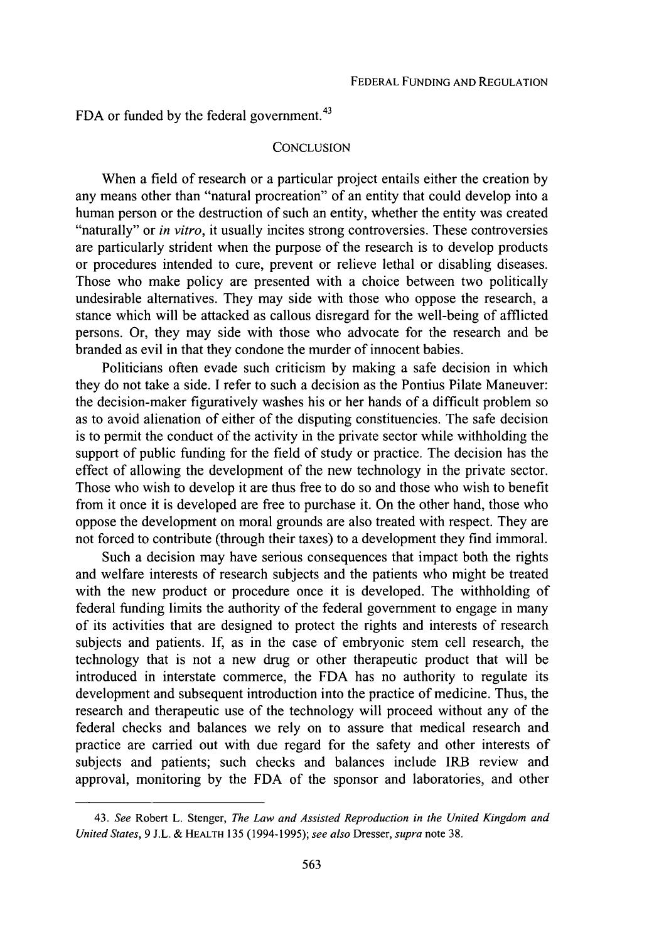FDA or funded by the federal government.<sup>43</sup>

## **CONCLUSION**

When a field of research or a particular project entails either the creation by any means other than "natural procreation" of an entity that could develop into a human person or the destruction of such an entity, whether the entity was created "naturally" or *in vitro,* it usually incites strong controversies. These controversies are particularly strident when the purpose of the research is to develop products or procedures intended to cure, prevent or relieve lethal or disabling diseases. Those who make policy are presented with a choice between two politically undesirable alternatives. They may side with those who oppose the research, a stance which will be attacked as callous disregard for the well-being of afflicted persons. Or, they may side with those who advocate for the research and be branded as evil in that they condone the murder of innocent babies.

Politicians often evade such criticism by making a safe decision in which they do not take a side. I refer to such a decision as the Pontius Pilate Maneuver: the decision-maker figuratively washes his or her hands of a difficult problem so as to avoid alienation of either of the disputing constituencies. The safe decision is to permit the conduct of the activity in the private sector while withholding the support of public funding for the field of study or practice. The decision has the effect of allowing the development of the new technology in the private sector. Those who wish to develop it are thus free to do so and those who wish to benefit from it once it is developed are free to purchase it. On the other hand, those who oppose the development on moral grounds are also treated with respect. They are not forced to contribute (through their taxes) to a development they find immoral.

Such a decision may have serious consequences that impact both the rights and welfare interests of research subjects and the patients who might be treated with the new product or procedure once it is developed. The withholding of federal funding limits the authority of the federal government to engage in many of its activities that are designed to protect the rights and interests of research subjects and patients. If, as in the case of embryonic stem cell research, the technology that is not a new drug or other therapeutic product that will be introduced in interstate commerce, the FDA has no authority to regulate its development and subsequent introduction into the practice of medicine. Thus, the research and therapeutic use of the technology will proceed without any of the federal checks and balances we rely on to assure that medical research and practice are carried out with due regard for the safety and other interests of subjects and patients; such checks and balances include IRB review and approval, monitoring by the FDA of the sponsor and laboratories, and other

<sup>43.</sup> *See* Robert L. Stenger, *The Law and Assisted Reproduction in the United Kingdom and United States,* 9 J.L. & HEALTH 135 (1994-1995); *see also* Dresser, *supra* note 38.